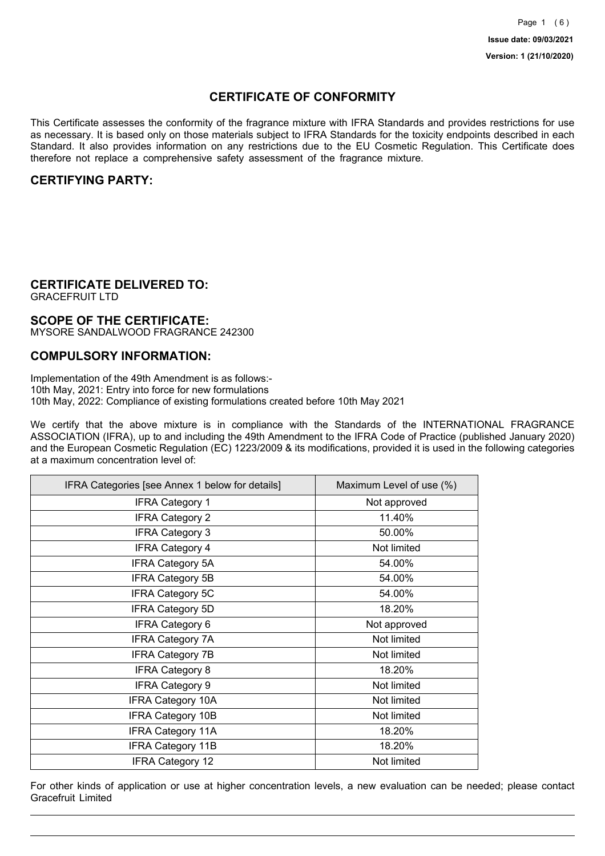## **CERTIFICATE OF CONFORMITY**

This Certificate assesses the conformity of the fragrance mixture with IFRA Standards and provides restrictions for use as necessary. It is based only on those materials subject to IFRA Standards for the toxicity endpoints described in each Standard. It also provides information on any restrictions due to the EU Cosmetic Regulation. This Certificate does therefore not replace a comprehensive safety assessment of the fragrance mixture.

## **CERTIFYING PARTY:**

## **CERTIFICATE DELIVERED TO:**

GRACEFRUIT LTD

### **SCOPE OF THE CERTIFICATE:**

MYSORE SANDALWOOD FRAGRANCE 242300

### **COMPULSORY INFORMATION:**

Implementation of the 49th Amendment is as follows:- 10th May, 2021: Entry into force for new formulations 10th May, 2022: Compliance of existing formulations created before 10th May 2021

We certify that the above mixture is in compliance with the Standards of the INTERNATIONAL FRAGRANCE ASSOCIATION (IFRA), up to and including the 49th Amendment to the IFRA Code of Practice (published January 2020) and the European Cosmetic Regulation (EC) 1223/2009 & its modifications, provided it is used in the following categories at a maximum concentration level of:

| IFRA Categories [see Annex 1 below for details] | Maximum Level of use (%) |
|-------------------------------------------------|--------------------------|
| <b>IFRA Category 1</b>                          | Not approved             |
| <b>IFRA Category 2</b>                          | 11.40%                   |
| <b>IFRA Category 3</b>                          | 50.00%                   |
| <b>IFRA Category 4</b>                          | Not limited              |
| <b>IFRA Category 5A</b>                         | 54.00%                   |
| <b>IFRA Category 5B</b>                         | 54.00%                   |
| <b>IFRA Category 5C</b>                         | 54.00%                   |
| <b>IFRA Category 5D</b>                         | 18.20%                   |
| <b>IFRA Category 6</b>                          | Not approved             |
| <b>IFRA Category 7A</b>                         | Not limited              |
| <b>IFRA Category 7B</b>                         | Not limited              |
| <b>IFRA Category 8</b>                          | 18.20%                   |
| <b>IFRA Category 9</b>                          | Not limited              |
| <b>IFRA Category 10A</b>                        | Not limited              |
| <b>IFRA Category 10B</b>                        | Not limited              |
| <b>IFRA Category 11A</b>                        | 18.20%                   |
| <b>IFRA Category 11B</b>                        | 18.20%                   |
| <b>IFRA Category 12</b>                         | Not limited              |

For other kinds of application or use at higher concentration levels, a new evaluation can be needed; please contact Gracefruit Limited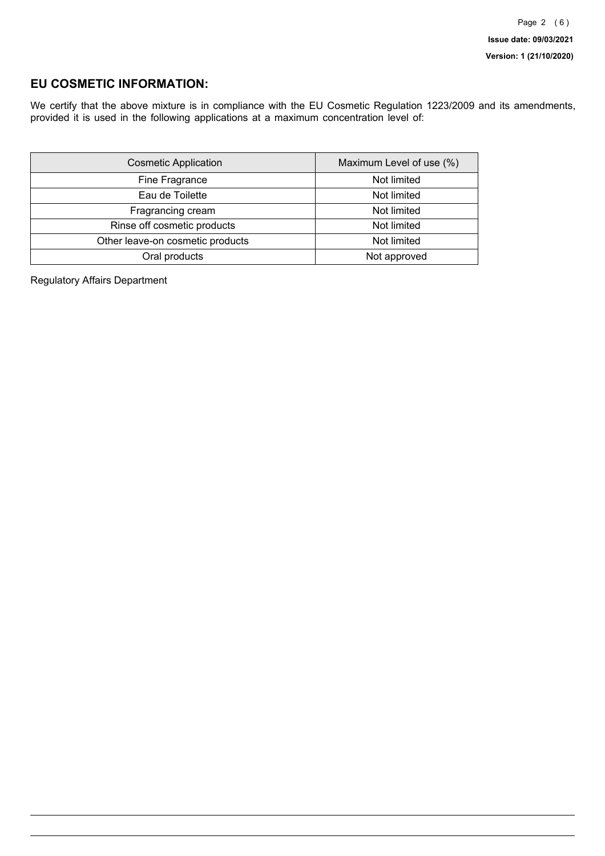## **EU COSMETIC INFORMATION:**

We certify that the above mixture is in compliance with the EU Cosmetic Regulation 1223/2009 and its amendments, provided it is used in the following applications at a maximum concentration level of:

| <b>Cosmetic Application</b>      | Maximum Level of use (%) |
|----------------------------------|--------------------------|
| Fine Fragrance                   | Not limited              |
| Eau de Toilette                  | Not limited              |
| Fragrancing cream                | Not limited              |
| Rinse off cosmetic products      | Not limited              |
| Other leave-on cosmetic products | Not limited              |
| Oral products                    | Not approved             |

Regulatory Affairs Department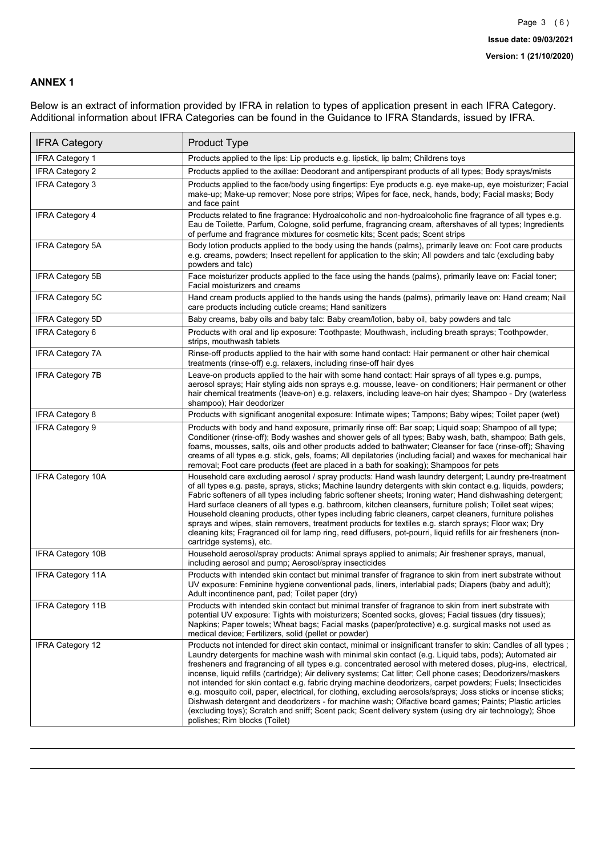### **ANNEX 1**

Below is an extract of information provided by IFRA in relation to types of application present in each IFRA Category. Additional information about IFRA Categories can be found in the Guidance to IFRA Standards, issued by IFRA.

| <b>IFRA Category</b>     | Product Type                                                                                                                                                                                                                                                                                                                                                                                                                                                                                                                                                                                                                                                                                                                                                                                                                                                                                                                                 |
|--------------------------|----------------------------------------------------------------------------------------------------------------------------------------------------------------------------------------------------------------------------------------------------------------------------------------------------------------------------------------------------------------------------------------------------------------------------------------------------------------------------------------------------------------------------------------------------------------------------------------------------------------------------------------------------------------------------------------------------------------------------------------------------------------------------------------------------------------------------------------------------------------------------------------------------------------------------------------------|
| <b>IFRA Category 1</b>   | Products applied to the lips: Lip products e.g. lipstick, lip balm; Childrens toys                                                                                                                                                                                                                                                                                                                                                                                                                                                                                                                                                                                                                                                                                                                                                                                                                                                           |
| <b>IFRA Category 2</b>   | Products applied to the axillae: Deodorant and antiperspirant products of all types; Body sprays/mists                                                                                                                                                                                                                                                                                                                                                                                                                                                                                                                                                                                                                                                                                                                                                                                                                                       |
| <b>IFRA Category 3</b>   | Products applied to the face/body using fingertips: Eye products e.g. eye make-up, eye moisturizer; Facial<br>make-up; Make-up remover; Nose pore strips; Wipes for face, neck, hands, body; Facial masks; Body<br>and face paint                                                                                                                                                                                                                                                                                                                                                                                                                                                                                                                                                                                                                                                                                                            |
| <b>IFRA Category 4</b>   | Products related to fine fragrance: Hydroalcoholic and non-hydroalcoholic fine fragrance of all types e.g.<br>Eau de Toilette, Parfum, Cologne, solid perfume, fragrancing cream, aftershaves of all types; Ingredients<br>of perfume and fragrance mixtures for cosmetic kits; Scent pads; Scent strips                                                                                                                                                                                                                                                                                                                                                                                                                                                                                                                                                                                                                                     |
| <b>IFRA Category 5A</b>  | Body lotion products applied to the body using the hands (palms), primarily leave on: Foot care products<br>e.g. creams, powders; Insect repellent for application to the skin; All powders and talc (excluding baby<br>powders and talc)                                                                                                                                                                                                                                                                                                                                                                                                                                                                                                                                                                                                                                                                                                    |
| IFRA Category 5B         | Face moisturizer products applied to the face using the hands (palms), primarily leave on: Facial toner;<br>Facial moisturizers and creams                                                                                                                                                                                                                                                                                                                                                                                                                                                                                                                                                                                                                                                                                                                                                                                                   |
| IFRA Category 5C         | Hand cream products applied to the hands using the hands (palms), primarily leave on: Hand cream; Nail<br>care products including cuticle creams; Hand sanitizers                                                                                                                                                                                                                                                                                                                                                                                                                                                                                                                                                                                                                                                                                                                                                                            |
| <b>IFRA Category 5D</b>  | Baby creams, baby oils and baby talc: Baby cream/lotion, baby oil, baby powders and talc                                                                                                                                                                                                                                                                                                                                                                                                                                                                                                                                                                                                                                                                                                                                                                                                                                                     |
| IFRA Category 6          | Products with oral and lip exposure: Toothpaste; Mouthwash, including breath sprays; Toothpowder,<br>strips, mouthwash tablets                                                                                                                                                                                                                                                                                                                                                                                                                                                                                                                                                                                                                                                                                                                                                                                                               |
| <b>IFRA Category 7A</b>  | Rinse-off products applied to the hair with some hand contact: Hair permanent or other hair chemical<br>treatments (rinse-off) e.g. relaxers, including rinse-off hair dyes                                                                                                                                                                                                                                                                                                                                                                                                                                                                                                                                                                                                                                                                                                                                                                  |
| <b>IFRA Category 7B</b>  | Leave-on products applied to the hair with some hand contact: Hair sprays of all types e.g. pumps,<br>aerosol sprays; Hair styling aids non sprays e.g. mousse, leave- on conditioners; Hair permanent or other<br>hair chemical treatments (leave-on) e.g. relaxers, including leave-on hair dyes; Shampoo - Dry (waterless<br>shampoo); Hair deodorizer                                                                                                                                                                                                                                                                                                                                                                                                                                                                                                                                                                                    |
| <b>IFRA Category 8</b>   | Products with significant anogenital exposure: Intimate wipes; Tampons; Baby wipes; Toilet paper (wet)                                                                                                                                                                                                                                                                                                                                                                                                                                                                                                                                                                                                                                                                                                                                                                                                                                       |
| IFRA Category 9          | Products with body and hand exposure, primarily rinse off: Bar soap; Liquid soap; Shampoo of all type;<br>Conditioner (rinse-off); Body washes and shower gels of all types; Baby wash, bath, shampoo; Bath gels,<br>foams, mousses, salts, oils and other products added to bathwater; Cleanser for face (rinse-off); Shaving<br>creams of all types e.g. stick, gels, foams; All depilatories (including facial) and waxes for mechanical hair<br>removal; Foot care products (feet are placed in a bath for soaking); Shampoos for pets                                                                                                                                                                                                                                                                                                                                                                                                   |
| <b>IFRA Category 10A</b> | Household care excluding aerosol / spray products: Hand wash laundry detergent; Laundry pre-treatment<br>of all types e.g. paste, sprays, sticks; Machine laundry detergents with skin contact e.g. liquids, powders;<br>Fabric softeners of all types including fabric softener sheets; Ironing water; Hand dishwashing detergent;<br>Hard surface cleaners of all types e.g. bathroom, kitchen cleansers, furniture polish; Toilet seat wipes;<br>Household cleaning products, other types including fabric cleaners, carpet cleaners, furniture polishes<br>sprays and wipes, stain removers, treatment products for textiles e.g. starch sprays; Floor wax; Dry<br>cleaning kits; Fragranced oil for lamp ring, reed diffusers, pot-pourri, liquid refills for air fresheners (non-<br>cartridge systems), etc.                                                                                                                          |
| <b>IFRA Category 10B</b> | Household aerosol/spray products: Animal sprays applied to animals; Air freshener sprays, manual,<br>including aerosol and pump; Aerosol/spray insecticides                                                                                                                                                                                                                                                                                                                                                                                                                                                                                                                                                                                                                                                                                                                                                                                  |
| <b>IFRA Category 11A</b> | Products with intended skin contact but minimal transfer of fragrance to skin from inert substrate without<br>UV exposure: Feminine hygiene conventional pads, liners, interlabial pads; Diapers (baby and adult);<br>Adult incontinence pant, pad; Toilet paper (dry)                                                                                                                                                                                                                                                                                                                                                                                                                                                                                                                                                                                                                                                                       |
| <b>IFRA Category 11B</b> | Products with intended skin contact but minimal transfer of fragrance to skin from inert substrate with<br>potential UV exposure: Tights with moisturizers; Scented socks, gloves; Facial tissues (dry tissues);<br>Napkins; Paper towels; Wheat bags; Facial masks (paper/protective) e.g. surgical masks not used as<br>medical device; Fertilizers, solid (pellet or powder)                                                                                                                                                                                                                                                                                                                                                                                                                                                                                                                                                              |
| <b>IFRA Category 12</b>  | Products not intended for direct skin contact, minimal or insignificant transfer to skin: Candles of all types;<br>Laundry detergents for machine wash with minimal skin contact (e.g. Liquid tabs, pods); Automated air<br>fresheners and fragrancing of all types e.g. concentrated aerosol with metered doses, plug-ins, electrical,<br>incense, liquid refills (cartridge); Air delivery systems; Cat litter; Cell phone cases; Deodorizers/maskers<br>not intended for skin contact e.g. fabric drying machine deodorizers, carpet powders; Fuels; Insecticides<br>e.g. mosquito coil, paper, electrical, for clothing, excluding aerosols/sprays; Joss sticks or incense sticks;<br>Dishwash detergent and deodorizers - for machine wash; Olfactive board games; Paints; Plastic articles<br>(excluding toys); Scratch and sniff; Scent pack; Scent delivery system (using dry air technology); Shoe<br>polishes; Rim blocks (Toilet) |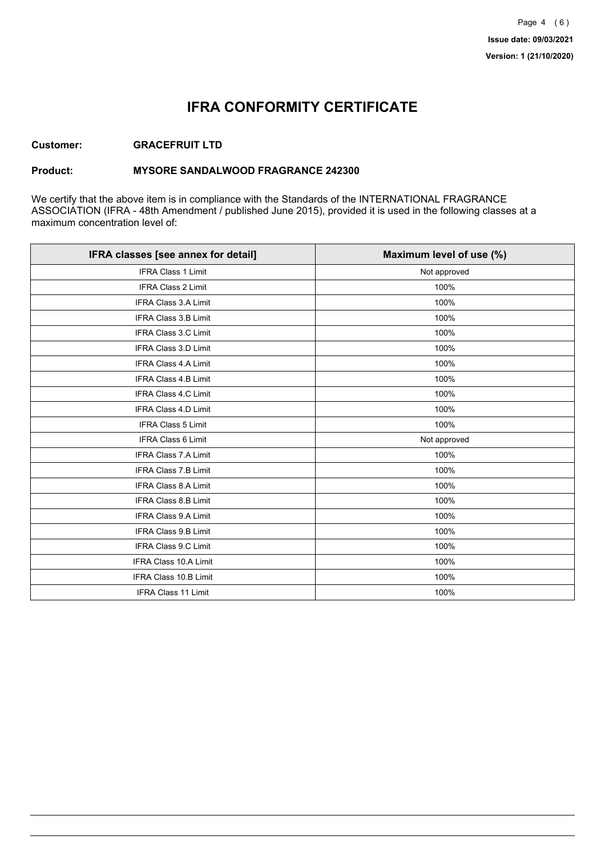## **IFRA CONFORMITY CERTIFICATE**

### **Customer: GRACEFRUIT LTD**

### **Product: MYSORE SANDALWOOD FRAGRANCE 242300**

We certify that the above item is in compliance with the Standards of the INTERNATIONAL FRAGRANCE ASSOCIATION (IFRA - 48th Amendment / published June 2015), provided it is used in the following classes at a maximum concentration level of:

| IFRA classes [see annex for detail] | Maximum level of use (%) |
|-------------------------------------|--------------------------|
| <b>IFRA Class 1 Limit</b>           | Not approved             |
| <b>IFRA Class 2 Limit</b>           | 100%                     |
| <b>IFRA Class 3.A Limit</b>         | 100%                     |
| IFRA Class 3.B Limit                | 100%                     |
| IFRA Class 3.C Limit                | 100%                     |
| IFRA Class 3.D Limit                | 100%                     |
| <b>IFRA Class 4.A Limit</b>         | 100%                     |
| <b>IFRA Class 4.B Limit</b>         | 100%                     |
| IFRA Class 4.C Limit                | 100%                     |
| <b>IFRA Class 4.D Limit</b>         | 100%                     |
| <b>IFRA Class 5 Limit</b>           | 100%                     |
| <b>IFRA Class 6 Limit</b>           | Not approved             |
| <b>IFRA Class 7.A Limit</b>         | 100%                     |
| IFRA Class 7.B Limit                | 100%                     |
| IFRA Class 8.A Limit                | 100%                     |
| IFRA Class 8.B Limit                | 100%                     |
| <b>IFRA Class 9.A Limit</b>         | 100%                     |
| <b>IFRA Class 9.B Limit</b>         | 100%                     |
| IFRA Class 9.C Limit                | 100%                     |
| IFRA Class 10.A Limit               | 100%                     |
| IFRA Class 10.B Limit               | 100%                     |
| <b>IFRA Class 11 Limit</b>          | 100%                     |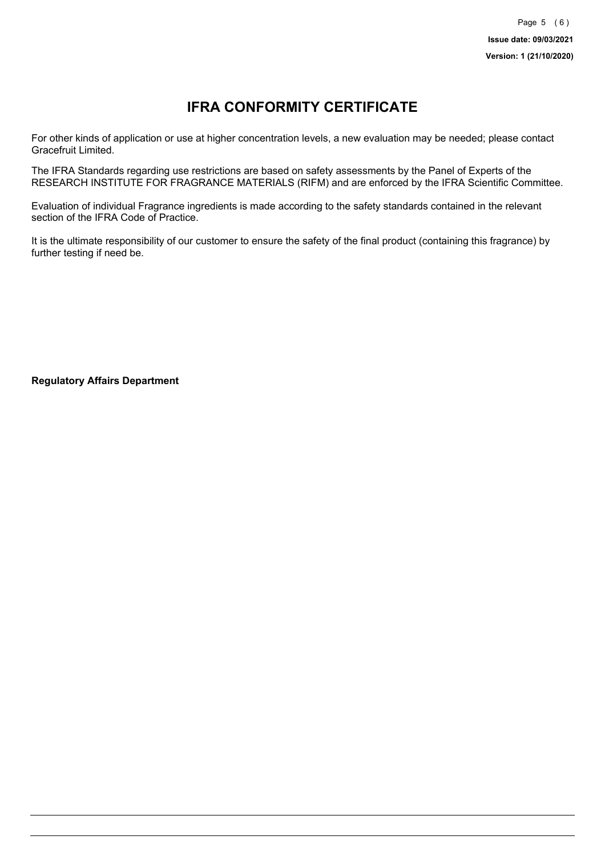# **IFRA CONFORMITY CERTIFICATE**

For other kinds of application or use at higher concentration levels, a new evaluation may be needed; please contact Gracefruit Limited.

The IFRA Standards regarding use restrictions are based on safety assessments by the Panel of Experts of the RESEARCH INSTITUTE FOR FRAGRANCE MATERIALS (RIFM) and are enforced by the IFRA Scientific Committee.

Evaluation of individual Fragrance ingredients is made according to the safety standards contained in the relevant section of the IFRA Code of Practice.

It is the ultimate responsibility of our customer to ensure the safety of the final product (containing this fragrance) by further testing if need be.

**Regulatory Affairs Department**